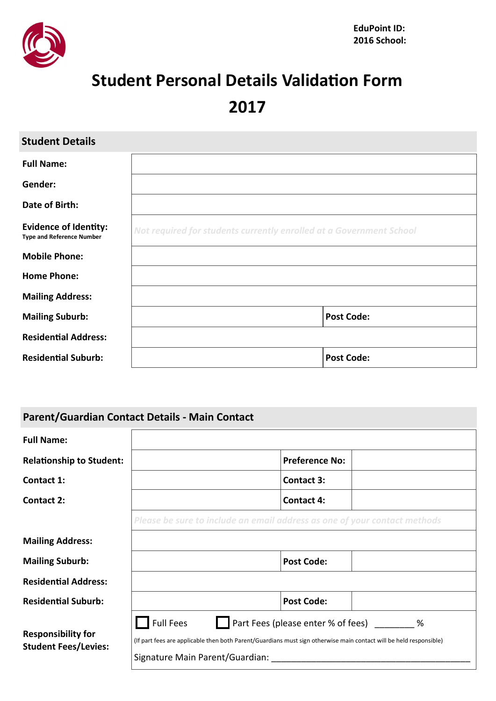

# **Student Personal Details Validation Form**

**2017**

| <b>Student Details</b>                                           |                                                                     |  |
|------------------------------------------------------------------|---------------------------------------------------------------------|--|
| <b>Full Name:</b>                                                |                                                                     |  |
| Gender:                                                          |                                                                     |  |
| Date of Birth:                                                   |                                                                     |  |
| <b>Evidence of Identity:</b><br><b>Type and Reference Number</b> | Not required for students currently enrolled at a Government School |  |
| <b>Mobile Phone:</b>                                             |                                                                     |  |
| <b>Home Phone:</b>                                               |                                                                     |  |
| <b>Mailing Address:</b>                                          |                                                                     |  |
| <b>Mailing Suburb:</b>                                           | <b>Post Code:</b>                                                   |  |
| <b>Residential Address:</b>                                      |                                                                     |  |
| <b>Residential Suburb:</b>                                       | <b>Post Code:</b>                                                   |  |

| Parent/Guardian Contact Details - Main Contact           |                                                                                                                                                                                                                   |  |
|----------------------------------------------------------|-------------------------------------------------------------------------------------------------------------------------------------------------------------------------------------------------------------------|--|
| <b>Full Name:</b>                                        |                                                                                                                                                                                                                   |  |
| <b>Relationship to Student:</b>                          | <b>Preference No:</b>                                                                                                                                                                                             |  |
| Contact 1:                                               | <b>Contact 3:</b>                                                                                                                                                                                                 |  |
| Contact 2:                                               | <b>Contact 4:</b>                                                                                                                                                                                                 |  |
|                                                          | Please be sure to include an email address as one of your contact methods                                                                                                                                         |  |
| <b>Mailing Address:</b>                                  |                                                                                                                                                                                                                   |  |
| <b>Mailing Suburb:</b>                                   | <b>Post Code:</b>                                                                                                                                                                                                 |  |
| <b>Residential Address:</b>                              |                                                                                                                                                                                                                   |  |
| <b>Residential Suburb:</b>                               | <b>Post Code:</b>                                                                                                                                                                                                 |  |
| <b>Responsibility for</b><br><b>Student Fees/Levies:</b> | <b>Full Fees</b><br>Part Fees (please enter % of fees) %<br>(If part fees are applicable then both Parent/Guardians must sign otherwise main contact will be held responsible)<br>Signature Main Parent/Guardian: |  |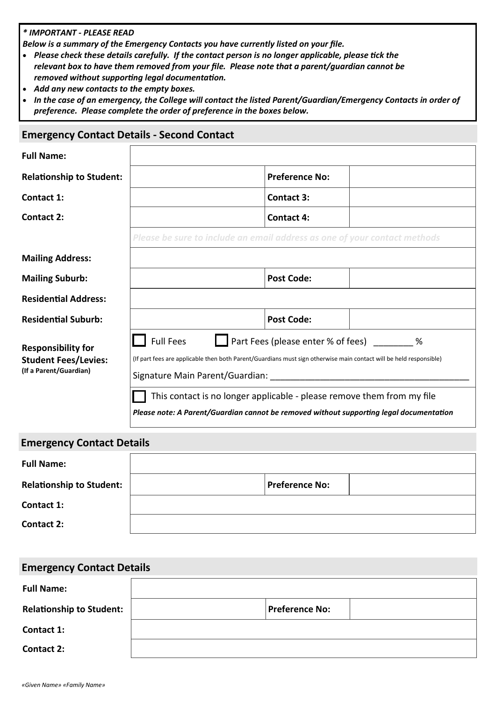#### *\* IMPORTANT - PLEASE READ*

*Below is a summary of the Emergency Contacts you have currently listed on your file.* 

- *Please check these details carefully. If the contact person is no longer applicable, please tick the relevant box to have them removed from your file. Please note that a parent/guardian cannot be removed without supporting legal documentation.*
- *Add any new contacts to the empty boxes.*
- *In the case of an emergency, the College will contact the listed Parent/Guardian/Emergency Contacts in order of preference. Please complete the order of preference in the boxes below.*

#### **Emergency Contact Details - Second Contact**

| <b>Full Name:</b>                                                                  |                                                                                                                                                                                                                                                                                                                                                                                                                       |  |
|------------------------------------------------------------------------------------|-----------------------------------------------------------------------------------------------------------------------------------------------------------------------------------------------------------------------------------------------------------------------------------------------------------------------------------------------------------------------------------------------------------------------|--|
| <b>Relationship to Student:</b>                                                    | <b>Preference No:</b>                                                                                                                                                                                                                                                                                                                                                                                                 |  |
| Contact 1:                                                                         | Contact 3:                                                                                                                                                                                                                                                                                                                                                                                                            |  |
| Contact 2:                                                                         | <b>Contact 4:</b>                                                                                                                                                                                                                                                                                                                                                                                                     |  |
|                                                                                    | Please be sure to include an email address as one of your contact methods                                                                                                                                                                                                                                                                                                                                             |  |
| <b>Mailing Address:</b>                                                            |                                                                                                                                                                                                                                                                                                                                                                                                                       |  |
| <b>Mailing Suburb:</b>                                                             | <b>Post Code:</b>                                                                                                                                                                                                                                                                                                                                                                                                     |  |
| <b>Residential Address:</b>                                                        |                                                                                                                                                                                                                                                                                                                                                                                                                       |  |
| <b>Residential Suburb:</b>                                                         | <b>Post Code:</b>                                                                                                                                                                                                                                                                                                                                                                                                     |  |
| <b>Responsibility for</b><br><b>Student Fees/Levies:</b><br>(If a Parent/Guardian) | Part Fees (please enter % of fees) ________ %<br><b>Full Fees</b><br>(If part fees are applicable then both Parent/Guardians must sign otherwise main contact will be held responsible)<br>Signature Main Parent/Guardian: Signature Main Parent<br>This contact is no longer applicable - please remove them from my file<br>Please note: A Parent/Guardian cannot be removed without supporting legal documentation |  |

| <b>Emergency Contact Details</b> |                       |  |
|----------------------------------|-----------------------|--|
| <b>Full Name:</b>                |                       |  |
| <b>Relationship to Student:</b>  | <b>Preference No:</b> |  |
| Contact 1:                       |                       |  |
| <b>Contact 2:</b>                |                       |  |

| <b>Emergency Contact Details</b> |                       |  |
|----------------------------------|-----------------------|--|
| <b>Full Name:</b>                |                       |  |
| <b>Relationship to Student:</b>  | <b>Preference No:</b> |  |
| Contact 1:                       |                       |  |
| <b>Contact 2:</b>                |                       |  |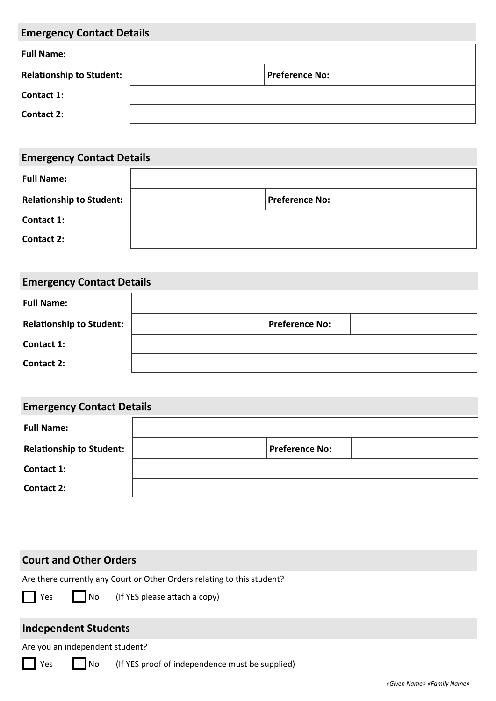| <b>Emergency Contact Details</b> |                       |  |
|----------------------------------|-----------------------|--|
| <b>Full Name:</b>                |                       |  |
| <b>Relationship to Student:</b>  | <b>Preference No:</b> |  |
| Contact 1:                       |                       |  |
| <b>Contact 2:</b>                |                       |  |

| <b>Emergency Contact Details</b> |                       |  |
|----------------------------------|-----------------------|--|
| <b>Full Name:</b>                |                       |  |
| <b>Relationship to Student:</b>  | <b>Preference No:</b> |  |
| Contact 1:                       |                       |  |
| Contact 2:                       |                       |  |

| <b>Emergency Contact Details</b> |                       |  |
|----------------------------------|-----------------------|--|
| <b>Full Name:</b>                |                       |  |
| <b>Relationship to Student:</b>  | <b>Preference No:</b> |  |
| Contact 1:                       |                       |  |
| <b>Contact 2:</b>                |                       |  |

| <b>Emergency Contact Details</b> |                       |  |
|----------------------------------|-----------------------|--|
| <b>Full Name:</b>                |                       |  |
| <b>Relationship to Student:</b>  | <b>Preference No:</b> |  |
| Contact 1:                       |                       |  |
| <b>Contact 2:</b>                |                       |  |

#### **Court and Other Orders**

Are there currently any Court or Other Orders relating to this student?

Yes **No** (If YES please attach a copy)

## **Independent Students**

Are you an independent student?

Yes No (If YES proof of independence must be supplied)